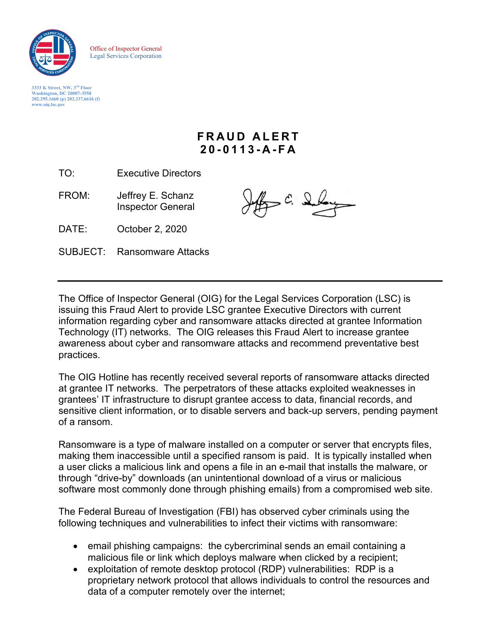

Office of Inspector General Legal Services Corporation

**3333 K Street, NW, 3rd Floor Washington, DC 20007-3558 202.295.1660 (p) 202.337.6616 (f) [www.oig.lsc.gov](http://www.oig.lsc.gov/)**

## **FRAUD ALERT 2 0 - 0 113 - A - F A**

TO: Executive Directors

FROM: Jeffrey E. Schanz Inspector General

 $\epsilon$   $\mathcal{S}$ 

DATE: October 2, 2020

SUBJECT: Ransomware Attacks

The Office of Inspector General (OIG) for the Legal Services Corporation (LSC) is issuing this Fraud Alert to provide LSC grantee Executive Directors with current information regarding cyber and ransomware attacks directed at grantee Information Technology (IT) networks. The OIG releases this Fraud Alert to increase grantee awareness about cyber and ransomware attacks and recommend preventative best practices.

The OIG Hotline has recently received several reports of ransomware attacks directed at grantee IT networks. The perpetrators of these attacks exploited weaknesses in grantees' IT infrastructure to disrupt grantee access to data, financial records, and sensitive client information, or to disable servers and back-up servers, pending payment of a ransom.

Ransomware is a type of malware installed on a computer or server that encrypts files, making them inaccessible until a specified ransom is paid. It is typically installed when a user clicks a malicious link and opens a file in an e-mail that installs the malware, or through "drive-by" downloads (an unintentional download of a virus or malicious software most commonly done through phishing emails) from a compromised web site.

The Federal Bureau of Investigation (FBI) has observed cyber criminals using the following techniques and vulnerabilities to infect their victims with ransomware:

- email phishing campaigns: the cybercriminal sends an email containing a malicious file or link which deploys malware when clicked by a recipient;
- exploitation of remote desktop protocol (RDP) vulnerabilities: RDP is a proprietary network protocol that allows individuals to control the resources and data of a computer remotely over the internet;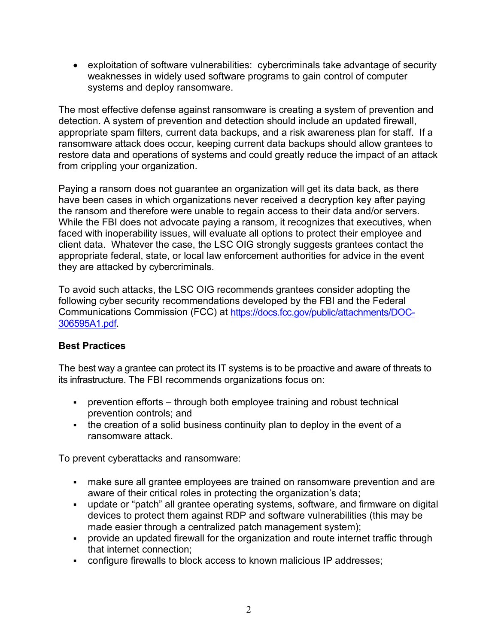• exploitation of software vulnerabilities: cybercriminals take advantage of security weaknesses in widely used software programs to gain control of computer systems and deploy ransomware.

The most effective defense against ransomware is creating a system of prevention and detection. A system of prevention and detection should include an updated firewall, appropriate spam filters, current data backups, and a risk awareness plan for staff. If a ransomware attack does occur, keeping current data backups should allow grantees to restore data and operations of systems and could greatly reduce the impact of an attack from crippling your organization.

Paying a ransom does not guarantee an organization will get its data back, as there have been cases in which organizations never received a decryption key after paying the ransom and therefore were unable to regain access to their data and/or servers. While the FBI does not advocate paying a ransom, it recognizes that executives, when faced with inoperability issues, will evaluate all options to protect their employee and client data. Whatever the case, the LSC OIG strongly suggests grantees contact the appropriate federal, state, or local law enforcement authorities for advice in the event they are attacked by cybercriminals.

To avoid such attacks, the LSC OIG recommends grantees consider adopting the following cyber security recommendations developed by the FBI and the Federal Communications Commission (FCC) at [https://docs.fcc.gov/public/attachments/DOC-](https://docs.fcc.gov/public/attachments/DOC-306595A1.pdf)[306595A1.pdf.](https://docs.fcc.gov/public/attachments/DOC-306595A1.pdf)

## **Best Practices**

The best way a grantee can protect its IT systems is to be proactive and aware of threats to its infrastructure. The FBI recommends organizations focus on:

- prevention efforts through both employee training and robust technical prevention controls; and
- the creation of a solid business continuity plan to deploy in the event of a ransomware attack.

To prevent cyberattacks and ransomware:

- make sure all grantee employees are trained on ransomware prevention and are aware of their critical roles in protecting the organization's data;
- update or "patch" all grantee operating systems, software, and firmware on digital devices to protect them against RDP and software vulnerabilities (this may be made easier through a centralized patch management system);
- provide an updated firewall for the organization and route internet traffic through that internet connection;
- configure firewalls to block access to known malicious IP addresses;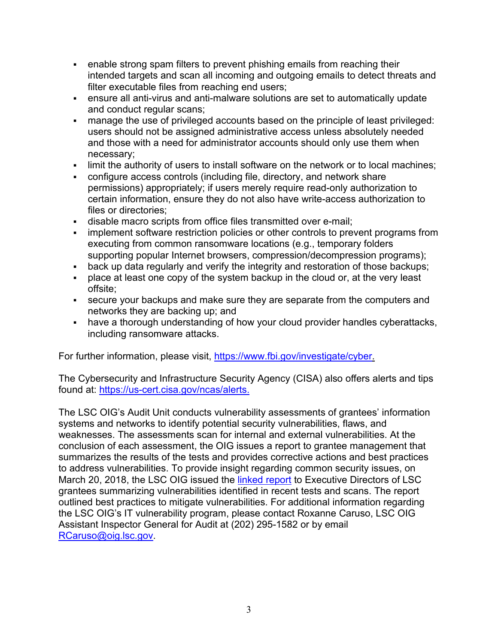- enable strong spam filters to prevent phishing emails from reaching their intended targets and scan all incoming and outgoing emails to detect threats and filter executable files from reaching end users;
- ensure all anti-virus and anti-malware solutions are set to automatically update and conduct regular scans;
- manage the use of privileged accounts based on the principle of least privileged: users should not be assigned administrative access unless absolutely needed and those with a need for administrator accounts should only use them when necessary;
- limit the authority of users to install software on the network or to local machines;
- configure access controls (including file, directory, and network share permissions) appropriately; if users merely require read-only authorization to certain information, ensure they do not also have write-access authorization to files or directories;
- disable macro scripts from office files transmitted over e-mail;
- implement software restriction policies or other controls to prevent programs from executing from common ransomware locations (e.g., temporary folders supporting popular Internet browsers, compression/decompression programs);
- back up data regularly and verify the integrity and restoration of those backups;
- place at least one copy of the system backup in the cloud or, at the very least offsite;
- secure your backups and make sure they are separate from the computers and networks they are backing up; and
- have a thorough understanding of how your cloud provider handles cyberattacks, including ransomware attacks.

For further information, please visit, [https://www.fbi.gov/investigate/cyber.](https://www.fbi.gov/investigate/cyber)

The Cybersecurity and Infrastructure Security Agency (CISA) also offers alerts and tips found at: [https://us-cert.cisa.gov/ncas/alerts.](https://us-cert.cisa.gov/ncas/alerts)

The LSC OIG's Audit Unit conducts vulnerability assessments of grantees' information systems and networks to identify potential security vulnerabilities, flaws, and weaknesses. The assessments scan for internal and external vulnerabilities. At the conclusion of each assessment, the OIG issues a report to grantee management that summarizes the results of the tests and provides corrective actions and best practices to address vulnerabilities. To provide insight regarding common security issues, on March 20, 2018, the LSC OIG issued the [linked report](https://www.oig.lsc.gov/images/pdfs/AR/IT_Vulnerability_Assessement_Management_Analysis_Report_3312020.pdf) to Executive Directors of LSC grantees summarizing vulnerabilities identified in recent tests and scans. The report outlined best practices to mitigate vulnerabilities. For additional information regarding the LSC OIG's IT vulnerability program, please contact Roxanne Caruso, LSC OIG Assistant Inspector General for Audit at (202) 295-1582 or by email [RCaruso@oig.lsc.gov.](mailto:RCaruso@oig.lsc.gov)